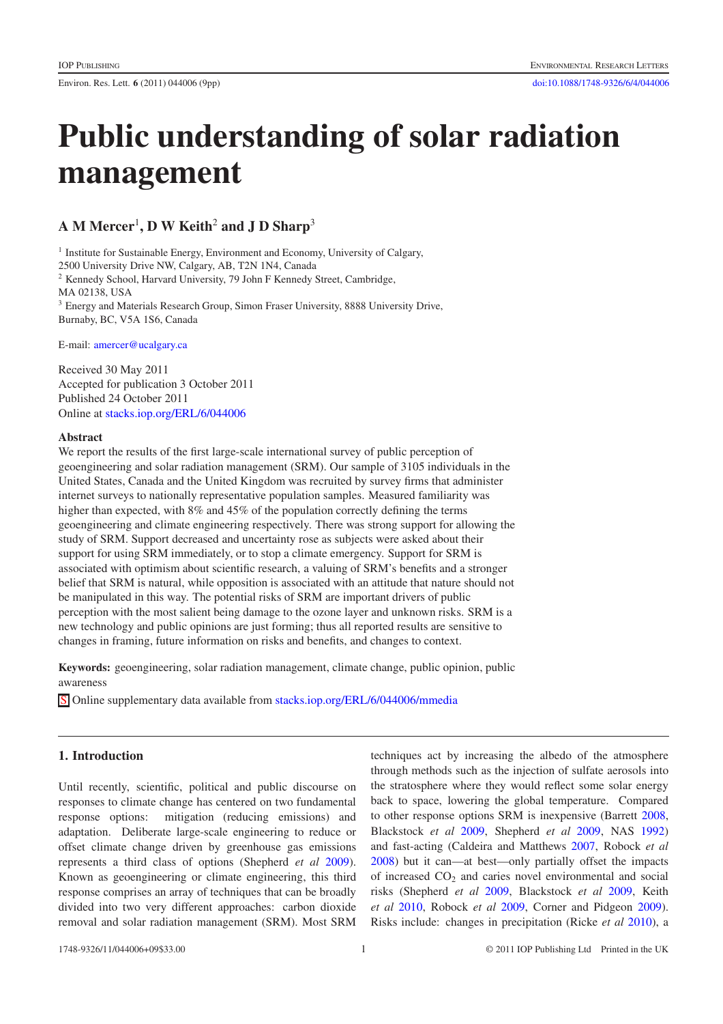# **Public understanding of solar radiation management**

**A M Mercer**<sup>1</sup> **, D W Keith**<sup>2</sup> **and J D Sharp**<sup>3</sup>

<sup>1</sup> Institute for Sustainable Energy, Environment and Economy, University of Calgary, 2500 University Drive NW, Calgary, AB, T2N 1N4, Canada <sup>2</sup> Kennedy School, Harvard University, 79 John F Kennedy Street, Cambridge, MA 02138, USA <sup>3</sup> Energy and Materials Research Group, Simon Fraser University, 8888 University Drive, Burnaby, BC, V5A 1S6, Canada

E-mail: [amercer@ucalgary.ca](mailto:amercer@ucalgary.ca)

Received 30 May 2011 Accepted for publication 3 October 2011 Published 24 October 2011 Online at [stacks.iop.org/ERL/6/044006](http://stacks.iop.org/ERL/6/044006)

## **Abstract**

We report the results of the first large-scale international survey of public perception of geoengineering and solar radiation management (SRM). Our sample of 3105 individuals in the United States, Canada and the United Kingdom was recruited by survey firms that administer internet surveys to nationally representative population samples. Measured familiarity was higher than expected, with 8% and 45% of the population correctly defining the terms geoengineering and climate engineering respectively. There was strong support for allowing the study of SRM. Support decreased and uncertainty rose as subjects were asked about their support for using SRM immediately, or to stop a climate emergency. Support for SRM is associated with optimism about scientific research, a valuing of SRM's benefits and a stronger belief that SRM is natural, while opposition is associated with an attitude that nature should not be manipulated in this way. The potential risks of SRM are important drivers of public perception with the most salient being damage to the ozone layer and unknown risks. SRM is a new technology and public opinions are just forming; thus all reported results are sensitive to changes in framing, future information on risks and benefits, and changes to context.

**Keywords:** geoengineering, solar radiation management, climate change, public opinion, public awareness

S Online supplementary data available from [stacks.iop.org/ERL/6/044006/mmedia](http://stacks.iop.org/ERL/6/044006/mmedia)

## **1. Introduction**

Until recently, scientific, political and public discourse on responses to climate change has centered on two fundamental response options: mitigation (reducing emissions) and adaptation. Deliberate large-scale engineering to reduce or offset climate change driven by greenhouse gas emissions represents a third class of options (Shepherd *et al* [2009\)](#page-8-0). Known as geoengineering or climate engineering, this third response comprises an array of techniques that can be broadly divided into two very different approaches: carbon dioxide removal and solar radiation management (SRM). Most SRM

techniques act by increasing the albedo of the atmosphere through methods such as the injection of sulfate aerosols into the stratosphere where they would reflect some solar energy back to space, lowering the global temperature. Compared to other response options SRM is inexpensive (Barrett [2008,](#page-8-1) Blackstock *et al* [2009,](#page-8-2) Shepherd *et al* [2009,](#page-8-0) NAS [1992\)](#page-8-3) and fast-acting (Caldeira and Matthews [2007,](#page-8-4) Robock *et al* [2008\)](#page-8-5) but it can—at best—only partially offset the impacts of increased  $CO<sub>2</sub>$  and caries novel environmental and social risks (Shepherd *et al* [2009,](#page-8-0) Blackstock *et al* [2009,](#page-8-2) Keith *et al* [2010,](#page-8-6) Robock *et al* [2009,](#page-8-7) Corner and Pidgeon [2009\)](#page-8-8). Risks include: changes in precipitation (Ricke *et al* [2010\)](#page-8-9), a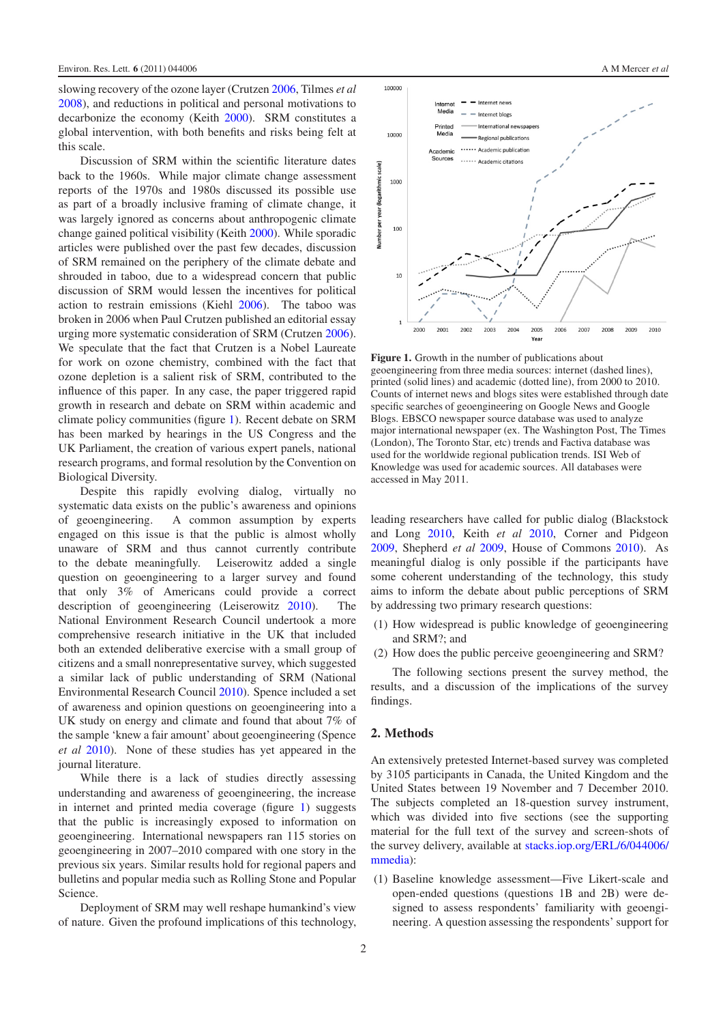slowing recovery of the ozone layer (Crutzen [2006,](#page-8-10) Tilmes *et al* [2008\)](#page-8-11), and reductions in political and personal motivations to decarbonize the economy (Keith [2000\)](#page-8-12). SRM constitutes a global intervention, with both benefits and risks being felt at this scale.

Discussion of SRM within the scientific literature dates back to the 1960s. While major climate change assessment reports of the 1970s and 1980s discussed its possible use as part of a broadly inclusive framing of climate change, it was largely ignored as concerns about anthropogenic climate change gained political visibility (Keith [2000\)](#page-8-12). While sporadic articles were published over the past few decades, discussion of SRM remained on the periphery of the climate debate and shrouded in taboo, due to a widespread concern that public discussion of SRM would lessen the incentives for political action to restrain emissions (Kiehl [2006\)](#page-8-13). The taboo was broken in 2006 when Paul Crutzen published an editorial essay urging more systematic consideration of SRM (Crutzen [2006\)](#page-8-10). We speculate that the fact that Crutzen is a Nobel Laureate for work on ozone chemistry, combined with the fact that ozone depletion is a salient risk of SRM, contributed to the influence of this paper. In any case, the paper triggered rapid growth in research and debate on SRM within academic and climate policy communities (figure [1\)](#page-1-0). Recent debate on SRM has been marked by hearings in the US Congress and the UK Parliament, the creation of various expert panels, national research programs, and formal resolution by the Convention on Biological Diversity.

Despite this rapidly evolving dialog, virtually no systematic data exists on the public's awareness and opinions of geoengineering. A common assumption by experts engaged on this issue is that the public is almost wholly unaware of SRM and thus cannot currently contribute to the debate meaningfully. Leiserowitz added a single question on geoengineering to a larger survey and found that only 3% of Americans could provide a correct description of geoengineering (Leiserowitz [2010\)](#page-8-14). The National Environment Research Council undertook a more comprehensive research initiative in the UK that included both an extended deliberative exercise with a small group of citizens and a small nonrepresentative survey, which suggested a similar lack of public understanding of SRM (National Environmental Research Council [2010\)](#page-8-15). Spence included a set of awareness and opinion questions on geoengineering into a UK study on energy and climate and found that about 7% of the sample 'knew a fair amount' about geoengineering (Spence *et al* [2010\)](#page-8-16). None of these studies has yet appeared in the journal literature.

While there is a lack of studies directly assessing understanding and awareness of geoengineering, the increase in internet and printed media coverage (figure [1\)](#page-1-0) suggests that the public is increasingly exposed to information on geoengineering. International newspapers ran 115 stories on geoengineering in 2007–2010 compared with one story in the previous six years. Similar results hold for regional papers and bulletins and popular media such as Rolling Stone and Popular Science.

Deployment of SRM may well reshape humankind's view of nature. Given the profound implications of this technology,

<span id="page-1-0"></span>

**Figure 1.** Growth in the number of publications about geoengineering from three media sources: internet (dashed lines), printed (solid lines) and academic (dotted line), from 2000 to 2010. Counts of internet news and blogs sites were established through date specific searches of geoengineering on Google News and Google Blogs. EBSCO newspaper source database was used to analyze major international newspaper (ex. The Washington Post, The Times (London), The Toronto Star, etc) trends and Factiva database was used for the worldwide regional publication trends. ISI Web of Knowledge was used for academic sources. All databases were accessed in May 2011.

leading researchers have called for public dialog (Blackstock and Long [2010,](#page-8-17) Keith *et al* [2010,](#page-8-6) Corner and Pidgeon [2009,](#page-8-8) Shepherd *et al* [2009,](#page-8-0) House of Commons [2010\)](#page-8-18). As meaningful dialog is only possible if the participants have some coherent understanding of the technology, this study aims to inform the debate about public perceptions of SRM by addressing two primary research questions:

- (1) How widespread is public knowledge of geoengineering and SRM?; and
- (2) How does the public perceive geoengineering and SRM?

The following sections present the survey method, the results, and a discussion of the implications of the survey findings.

## **2. Methods**

An extensively pretested Internet-based survey was completed by 3105 participants in Canada, the United Kingdom and the United States between 19 November and 7 December 2010. The subjects completed an 18-question survey instrument, which was divided into five sections (see the supporting material for the full text of the survey and screen-shots of the survey delivery, available at stacks.iop.org/ERL/6/044006/ mmedia[\):](http://stacks.iop.org/ERL/6/044006/mmedia)

(1) Baseline knowledge assessment—Five Likert-scale and open-ended questions (questions 1B and 2B) were designed to assess respondents' familiarity with geoengineering. A question assessing the respondents' support for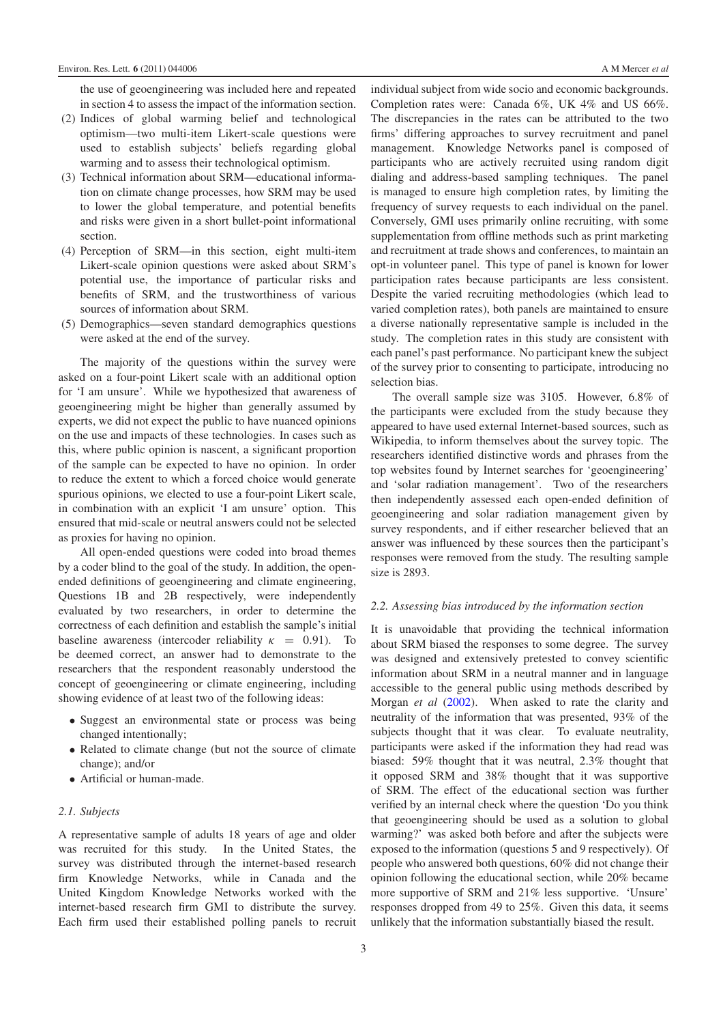the use of geoengineering was included here and repeated in section 4 to assess the impact of the information section.

- (2) Indices of global warming belief and technological optimism—two multi-item Likert-scale questions were used to establish subjects' beliefs regarding global warming and to assess their technological optimism.
- (3) Technical information about SRM—educational information on climate change processes, how SRM may be used to lower the global temperature, and potential benefits and risks were given in a short bullet-point informational section.
- (4) Perception of SRM—in this section, eight multi-item Likert-scale opinion questions were asked about SRM's potential use, the importance of particular risks and benefits of SRM, and the trustworthiness of various sources of information about SRM.
- (5) Demographics—seven standard demographics questions were asked at the end of the survey.

The majority of the questions within the survey were asked on a four-point Likert scale with an additional option for 'I am unsure'. While we hypothesized that awareness of geoengineering might be higher than generally assumed by experts, we did not expect the public to have nuanced opinions on the use and impacts of these technologies. In cases such as this, where public opinion is nascent, a significant proportion of the sample can be expected to have no opinion. In order to reduce the extent to which a forced choice would generate spurious opinions, we elected to use a four-point Likert scale, in combination with an explicit 'I am unsure' option. This ensured that mid-scale or neutral answers could not be selected as proxies for having no opinion.

All open-ended questions were coded into broad themes by a coder blind to the goal of the study. In addition, the openended definitions of geoengineering and climate engineering, Questions 1B and 2B respectively, were independently evaluated by two researchers, in order to determine the correctness of each definition and establish the sample's initial baseline awareness (intercoder reliability  $\kappa = 0.91$ ). To be deemed correct, an answer had to demonstrate to the researchers that the respondent reasonably understood the concept of geoengineering or climate engineering, including showing evidence of at least two of the following ideas:

- Suggest an environmental state or process was being changed intentionally;
- Related to climate change (but not the source of climate change); and/or
- Artificial or human-made.

#### *2.1. Subjects*

A representative sample of adults 18 years of age and older was recruited for this study. In the United States, the survey was distributed through the internet-based research firm Knowledge Networks, while in Canada and the United Kingdom Knowledge Networks worked with the internet-based research firm GMI to distribute the survey. Each firm used their established polling panels to recruit individual subject from wide socio and economic backgrounds. Completion rates were: Canada 6%, UK 4% and US 66%. The discrepancies in the rates can be attributed to the two firms' differing approaches to survey recruitment and panel management. Knowledge Networks panel is composed of participants who are actively recruited using random digit dialing and address-based sampling techniques. The panel is managed to ensure high completion rates, by limiting the frequency of survey requests to each individual on the panel. Conversely, GMI uses primarily online recruiting, with some supplementation from offline methods such as print marketing and recruitment at trade shows and conferences, to maintain an opt-in volunteer panel. This type of panel is known for lower participation rates because participants are less consistent. Despite the varied recruiting methodologies (which lead to varied completion rates), both panels are maintained to ensure a diverse nationally representative sample is included in the study. The completion rates in this study are consistent with each panel's past performance. No participant knew the subject of the survey prior to consenting to participate, introducing no selection bias.

The overall sample size was 3105. However, 6.8% of the participants were excluded from the study because they appeared to have used external Internet-based sources, such as Wikipedia, to inform themselves about the survey topic. The researchers identified distinctive words and phrases from the top websites found by Internet searches for 'geoengineering' and 'solar radiation management'. Two of the researchers then independently assessed each open-ended definition of geoengineering and solar radiation management given by survey respondents, and if either researcher believed that an answer was influenced by these sources then the participant's responses were removed from the study. The resulting sample size is 2893.

#### *2.2. Assessing bias introduced by the information section*

It is unavoidable that providing the technical information about SRM biased the responses to some degree. The survey was designed and extensively pretested to convey scientific information about SRM in a neutral manner and in language accessible to the general public using methods described by Morgan *et al* [\(2002\)](#page-8-19). When asked to rate the clarity and neutrality of the information that was presented, 93% of the subjects thought that it was clear. To evaluate neutrality, participants were asked if the information they had read was biased: 59% thought that it was neutral, 2.3% thought that it opposed SRM and 38% thought that it was supportive of SRM. The effect of the educational section was further verified by an internal check where the question 'Do you think that geoengineering should be used as a solution to global warming?' was asked both before and after the subjects were exposed to the information (questions 5 and 9 respectively). Of people who answered both questions, 60% did not change their opinion following the educational section, while 20% became more supportive of SRM and 21% less supportive. 'Unsure' responses dropped from 49 to 25%. Given this data, it seems unlikely that the information substantially biased the result.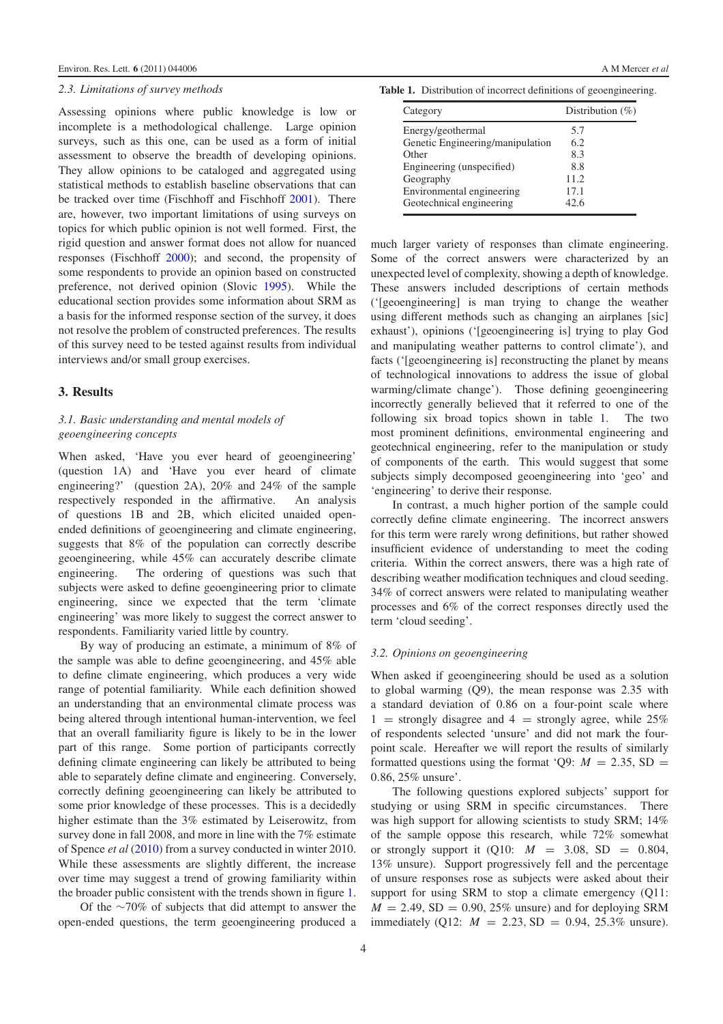## *2.3. Limitations of survey methods*

Assessing opinions where public knowledge is low or incomplete is a methodological challenge. Large opinion surveys, such as this one, can be used as a form of initial assessment to observe the breadth of developing opinions. They allow opinions to be cataloged and aggregated using statistical methods to establish baseline observations that can be tracked over time (Fischhoff and Fischhoff [2001\)](#page-8-20). There are, however, two important limitations of using surveys on topics for which public opinion is not well formed. First, the rigid question and answer format does not allow for nuanced responses (Fischhoff [2000\)](#page-8-21); and second, the propensity of some respondents to provide an opinion based on constructed preference, not derived opinion (Slovic [1995\)](#page-8-22). While the educational section provides some information about SRM as a basis for the informed response section of the survey, it does not resolve the problem of constructed preferences. The results of this survey need to be tested against results from individual interviews and/or small group exercises.

## **3. Results**

## *3.1. Basic understanding and mental models of geoengineering concepts*

When asked, 'Have you ever heard of geoengineering' (question 1A) and 'Have you ever heard of climate engineering?' (question 2A), 20% and 24% of the sample respectively responded in the affirmative. An analysis of questions 1B and 2B, which elicited unaided openended definitions of geoengineering and climate engineering, suggests that 8% of the population can correctly describe geoengineering, while 45% can accurately describe climate engineering. The ordering of questions was such that subjects were asked to define geoengineering prior to climate engineering, since we expected that the term 'climate engineering' was more likely to suggest the correct answer to respondents. Familiarity varied little by country.

By way of producing an estimate, a minimum of 8% of the sample was able to define geoengineering, and 45% able to define climate engineering, which produces a very wide range of potential familiarity. While each definition showed an understanding that an environmental climate process was being altered through intentional human-intervention, we feel that an overall familiarity figure is likely to be in the lower part of this range. Some portion of participants correctly defining climate engineering can likely be attributed to being able to separately define climate and engineering. Conversely, correctly defining geoengineering can likely be attributed to some prior knowledge of these processes. This is a decidedly higher estimate than the 3% estimated by Leiserowitz, from survey done in fall 2008, and more in line with the 7% estimate of Spence *et al* [\(2010\)](#page-8-16) from a survey conducted in winter 2010. While these assessments are slightly different, the increase over time may suggest a trend of growing familiarity within the broader public consistent with the trends shown in figure [1.](#page-1-0)

Of the ∼70% of subjects that did attempt to answer the open-ended questions, the term geoengineering produced a

<span id="page-3-0"></span>**Table 1.** Distribution of incorrect definitions of geoengineering.

| Category                         | Distribution $(\%)$ |
|----------------------------------|---------------------|
| Energy/geothermal                | 5.7                 |
| Genetic Engineering/manipulation | 6.2                 |
| Other                            | 8.3                 |
| Engineering (unspecified)        | 8.8                 |
| Geography                        | 11.2.               |
| Environmental engineering        | 17.1                |
| Geotechnical engineering         | 42.6                |

much larger variety of responses than climate engineering. Some of the correct answers were characterized by an unexpected level of complexity, showing a depth of knowledge. These answers included descriptions of certain methods ('[geoengineering] is man trying to change the weather using different methods such as changing an airplanes [sic] exhaust'), opinions ('[geoengineering is] trying to play God and manipulating weather patterns to control climate'), and facts ('[geoengineering is] reconstructing the planet by means of technological innovations to address the issue of global warming/climate change'). Those defining geoengineering incorrectly generally believed that it referred to one of the following six broad topics shown in table [1.](#page-3-0) The two most prominent definitions, environmental engineering and geotechnical engineering, refer to the manipulation or study of components of the earth. This would suggest that some subjects simply decomposed geoengineering into 'geo' and 'engineering' to derive their response.

In contrast, a much higher portion of the sample could correctly define climate engineering. The incorrect answers for this term were rarely wrong definitions, but rather showed insufficient evidence of understanding to meet the coding criteria. Within the correct answers, there was a high rate of describing weather modification techniques and cloud seeding. 34% of correct answers were related to manipulating weather processes and 6% of the correct responses directly used the term 'cloud seeding'.

## *3.2. Opinions on geoengineering*

When asked if geoengineering should be used as a solution to global warming (Q9), the mean response was 2.35 with a standard deviation of 0.86 on a four-point scale where 1 = strongly disagree and 4 = strongly agree, while  $25\%$ of respondents selected 'unsure' and did not mark the fourpoint scale. Hereafter we will report the results of similarly formatted questions using the format 'Q9:  $M = 2.35$ , SD = 0.86, 25% unsure'.

The following questions explored subjects' support for studying or using SRM in specific circumstances. There was high support for allowing scientists to study SRM; 14% of the sample oppose this research, while 72% somewhat or strongly support it  $(010: M = 3.08, SD = 0.804,$ 13% unsure). Support progressively fell and the percentage of unsure responses rose as subjects were asked about their support for using SRM to stop a climate emergency (Q11:  $M = 2.49$ , SD = 0.90, 25% unsure) and for deploying SRM immediately (Q12:  $M = 2.23$ , SD = 0.94, 25.3% unsure).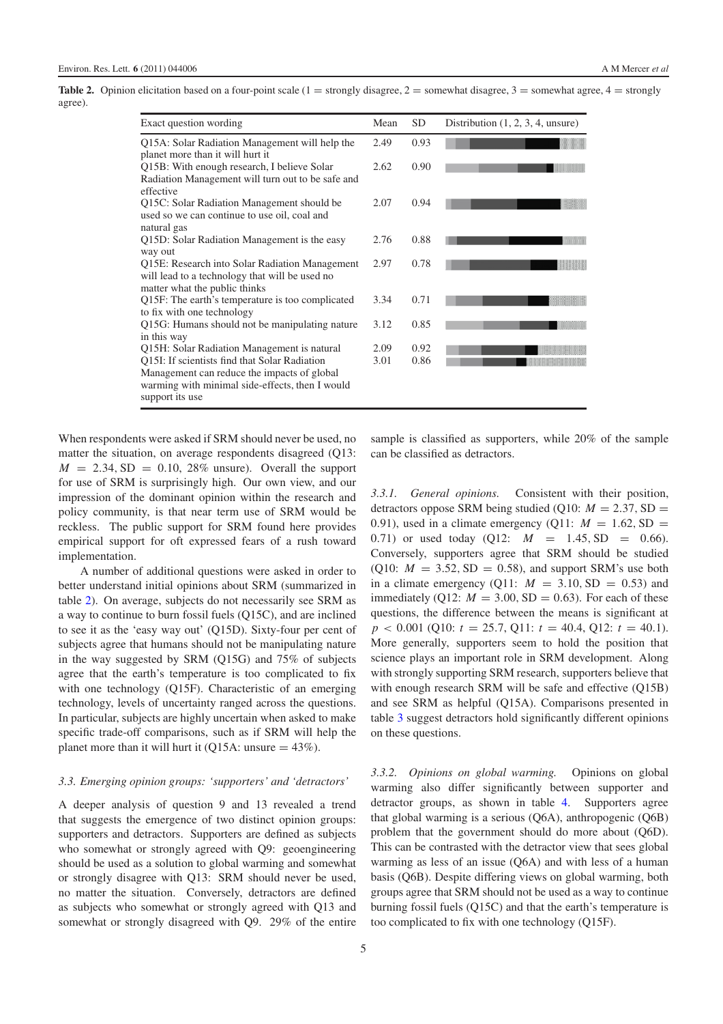<span id="page-4-0"></span>**Table 2.** Opinion elicitation based on a four-point scale  $(1 =$  strongly disagree,  $2 =$  somewhat disagree,  $3 =$  somewhat agree,  $4 =$  strongly agree).

| Exact question wording                                                                                                                                             | Mean | <b>SD</b> | Distribution $(1, 2, 3, 4,$ unsure) |
|--------------------------------------------------------------------------------------------------------------------------------------------------------------------|------|-----------|-------------------------------------|
| Q15A: Solar Radiation Management will help the<br>planet more than it will hurt it                                                                                 | 2.49 | 0.93      |                                     |
| Q15B: With enough research, I believe Solar<br>Radiation Management will turn out to be safe and<br>effective                                                      | 2.62 | 0.90      |                                     |
| Q15C: Solar Radiation Management should be<br>used so we can continue to use oil, coal and<br>natural gas                                                          | 2.07 | 0.94      |                                     |
| Q15D: Solar Radiation Management is the easy<br>way out                                                                                                            | 2.76 | 0.88      |                                     |
| Q15E: Research into Solar Radiation Management<br>will lead to a technology that will be used no<br>matter what the public thinks                                  | 2.97 | 0.78      |                                     |
| Q15F: The earth's temperature is too complicated<br>to fix with one technology                                                                                     | 3.34 | 0.71      |                                     |
| Q15G: Humans should not be manipulating nature<br>in this way                                                                                                      | 3.12 | 0.85      |                                     |
| Q15H: Solar Radiation Management is natural                                                                                                                        | 2.09 | 0.92      |                                     |
| Q15I: If scientists find that Solar Radiation<br>Management can reduce the impacts of global<br>warming with minimal side-effects, then I would<br>support its use | 3.01 | 0.86      |                                     |

When respondents were asked if SRM should never be used, no matter the situation, on average respondents disagreed (Q13:  $M = 2.34$ , SD = 0.10, 28% unsure). Overall the support for use of SRM is surprisingly high. Our own view, and our impression of the dominant opinion within the research and policy community, is that near term use of SRM would be reckless. The public support for SRM found here provides empirical support for oft expressed fears of a rush toward implementation.

A number of additional questions were asked in order to better understand initial opinions about SRM (summarized in table [2\)](#page-4-0). On average, subjects do not necessarily see SRM as a way to continue to burn fossil fuels (Q15C), and are inclined to see it as the 'easy way out' (Q15D). Sixty-four per cent of subjects agree that humans should not be manipulating nature in the way suggested by SRM (Q15G) and 75% of subjects agree that the earth's temperature is too complicated to fix with one technology (Q15F). Characteristic of an emerging technology, levels of uncertainty ranged across the questions. In particular, subjects are highly uncertain when asked to make specific trade-off comparisons, such as if SRM will help the planet more than it will hurt it (Q15A: unsure  $=$  43%).

#### *3.3. Emerging opinion groups: 'supporters' and 'detractors'*

A deeper analysis of question 9 and 13 revealed a trend that suggests the emergence of two distinct opinion groups: supporters and detractors. Supporters are defined as subjects who somewhat or strongly agreed with Q9: geoengineering should be used as a solution to global warming and somewhat or strongly disagree with Q13: SRM should never be used, no matter the situation. Conversely, detractors are defined as subjects who somewhat or strongly agreed with Q13 and somewhat or strongly disagreed with Q9. 29% of the entire

sample is classified as supporters, while 20% of the sample can be classified as detractors.

*3.3.1. General opinions.* Consistent with their position, detractors oppose SRM being studied (Q10:  $M = 2.37$ , SD = 0.91), used in a climate emergency (Q11:  $M = 1.62$ , SD = 0.71) or used today (Q12:  $M = 1.45$ , SD = 0.66). Conversely, supporters agree that SRM should be studied (Q10:  $M = 3.52$ , SD = 0.58), and support SRM's use both in a climate emergency (Q11:  $M = 3.10$ , SD = 0.53) and immediately (Q12:  $M = 3.00$ , SD = 0.63). For each of these questions, the difference between the means is significant at *p* < 0.001 (Q10: *t* = 25.7, Q11: *t* = 40.4, Q12: *t* = 40.1). More generally, supporters seem to hold the position that science plays an important role in SRM development. Along with strongly supporting SRM research, supporters believe that with enough research SRM will be safe and effective (Q15B) and see SRM as helpful (Q15A). Comparisons presented in table [3](#page-5-0) suggest detractors hold significantly different opinions on these questions.

*3.3.2. Opinions on global warming.* Opinions on global warming also differ significantly between supporter and detractor groups, as shown in table [4.](#page-5-1) Supporters agree that global warming is a serious (Q6A), anthropogenic (Q6B) problem that the government should do more about (Q6D). This can be contrasted with the detractor view that sees global warming as less of an issue (Q6A) and with less of a human basis (Q6B). Despite differing views on global warming, both groups agree that SRM should not be used as a way to continue burning fossil fuels (Q15C) and that the earth's temperature is too complicated to fix with one technology (Q15F).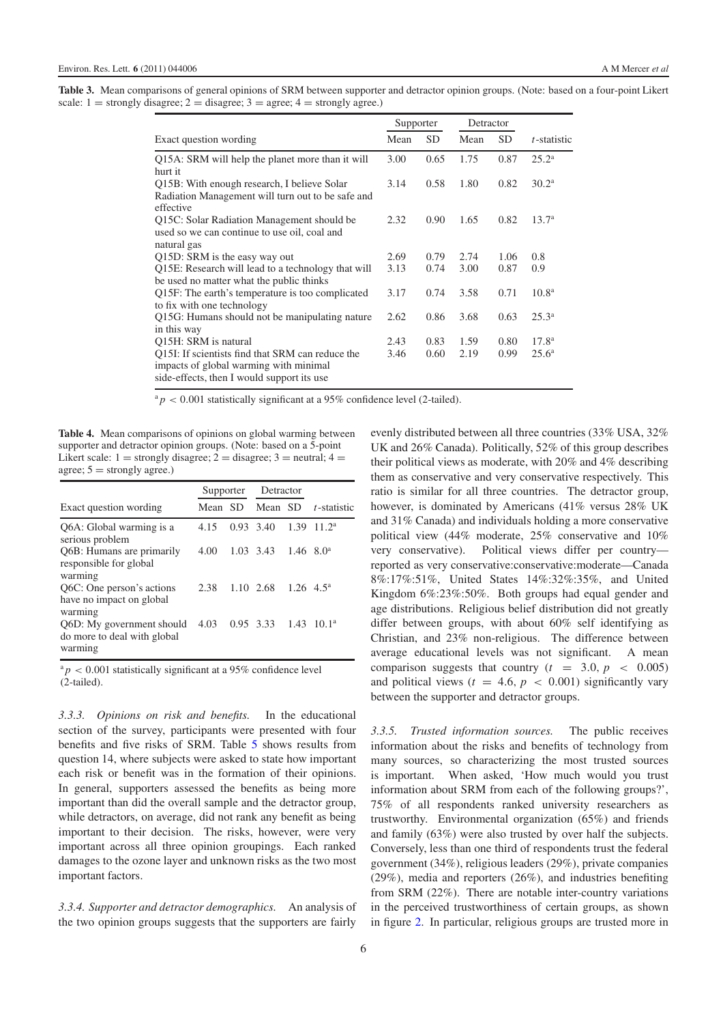<span id="page-5-0"></span>**Table 3.** Mean comparisons of general opinions of SRM between supporter and detractor opinion groups. (Note: based on a four-point Likert scale:  $1 =$  strongly disagree;  $2 =$  disagree;  $3 =$  agree;  $4 =$  strongly agree.)

|                                                                                                                                          |      | Supporter |      | Detractor |                   |
|------------------------------------------------------------------------------------------------------------------------------------------|------|-----------|------|-----------|-------------------|
| Exact question wording                                                                                                                   | Mean | <b>SD</b> | Mean | <b>SD</b> | t-statistic       |
| Q15A: SRM will help the planet more than it will<br>hurt it                                                                              | 3.00 | 0.65      | 1.75 | 0.87      | $25.2^{\rm a}$    |
| Q15B: With enough research, I believe Solar<br>Radiation Management will turn out to be safe and<br>effective                            | 3.14 | 0.58      | 1.80 | 0.82      | 30.2 <sup>a</sup> |
| Q15C: Solar Radiation Management should be<br>used so we can continue to use oil, coal and<br>natural gas                                | 2.32 | 0.90      | 1.65 | 0.82      | 13.7 <sup>a</sup> |
| Q15D: SRM is the easy way out                                                                                                            | 2.69 | 0.79      | 2.74 | 1.06      | 0.8               |
| Q15E: Research will lead to a technology that will<br>be used no matter what the public thinks                                           | 3.13 | 0.74      | 3.00 | 0.87      | 0.9               |
| Q15F: The earth's temperature is too complicated<br>to fix with one technology                                                           | 3.17 | 0.74      | 3.58 | 0.71      | 10.8 <sup>a</sup> |
| Q15G: Humans should not be manipulating nature<br>in this way                                                                            | 2.62 | 0.86      | 3.68 | 0.63      | $25.3^{\circ}$    |
| Q15H: SRM is natural                                                                                                                     | 2.43 | 0.83      | 1.59 | 0.80      | 17.8 <sup>a</sup> |
| Q15I: If scientists find that SRM can reduce the<br>impacts of global warming with minimal<br>side-effects, then I would support its use | 3.46 | 0.60      | 2.19 | 0.99      | 25.6 <sup>a</sup> |

 $a<sub>p</sub> < 0.001$  statistically significant at a 95% confidence level (2-tailed).

<span id="page-5-1"></span>**Table 4.** Mean comparisons of opinions on global warming between supporter and detractor opinion groups. (Note: based on a 5-point Likert scale:  $1 =$  strongly disagree;  $2 =$  disagree;  $3 =$  neutral;  $4 =$ agree;  $5 =$  strongly agree.)

|                                                                     | Supporter |           | Detractor  |                                |             |  |
|---------------------------------------------------------------------|-----------|-----------|------------|--------------------------------|-------------|--|
| Exact question wording                                              | Mean SD   |           | Mean SD    |                                | t-statistic |  |
| Q6A: Global warming is a<br>serious problem                         | 4.15      |           | 0.93, 3.40 | 1.39                           | $11.2^a$    |  |
| Q6B: Humans are primarily<br>responsible for global<br>warming      | 4.00      |           | 1.03 3.43  | $1.46 \text{ } 8.0^{\text{a}}$ |             |  |
| Q6C: One person's actions<br>have no impact on global<br>warming    | 2.38      |           | 1.10 2.68  | $1.26 \text{ } 4.5^{\text{a}}$ |             |  |
| O6D: My government should<br>do more to deal with global<br>warming | 4.03      | 0.95 3.33 |            | 1.43                           | $10.1^a$    |  |

 $a_p$  < 0.001 statistically significant at a 95% confidence level (2-tailed).

*3.3.3. Opinions on risk and benefits.* In the educational section of the survey, participants were presented with four benefits and five risks of SRM. Table [5](#page-6-0) shows results from question 14, where subjects were asked to state how important each risk or benefit was in the formation of their opinions. In general, supporters assessed the benefits as being more important than did the overall sample and the detractor group, while detractors, on average, did not rank any benefit as being important to their decision. The risks, however, were very important across all three opinion groupings. Each ranked damages to the ozone layer and unknown risks as the two most important factors.

*3.3.4. Supporter and detractor demographics.* An analysis of the two opinion groups suggests that the supporters are fairly evenly distributed between all three countries (33% USA, 32% UK and 26% Canada). Politically, 52% of this group describes their political views as moderate, with 20% and 4% describing them as conservative and very conservative respectively. This ratio is similar for all three countries. The detractor group, however, is dominated by Americans (41% versus 28% UK and 31% Canada) and individuals holding a more conservative political view (44% moderate, 25% conservative and 10% very conservative). Political views differ per country reported as very conservative:conservative:moderate—Canada 8%:17%:51%, United States 14%:32%:35%, and United Kingdom 6%:23%:50%. Both groups had equal gender and age distributions. Religious belief distribution did not greatly differ between groups, with about 60% self identifying as Christian, and 23% non-religious. The difference between average educational levels was not significant. A mean comparison suggests that country  $(t = 3.0, p < 0.005)$ and political views ( $t = 4.6$ ,  $p < 0.001$ ) significantly vary between the supporter and detractor groups.

*3.3.5. Trusted information sources.* The public receives information about the risks and benefits of technology from many sources, so characterizing the most trusted sources is important. When asked, 'How much would you trust information about SRM from each of the following groups?', 75% of all respondents ranked university researchers as trustworthy. Environmental organization (65%) and friends and family (63%) were also trusted by over half the subjects. Conversely, less than one third of respondents trust the federal government (34%), religious leaders (29%), private companies (29%), media and reporters (26%), and industries benefiting from SRM (22%). There are notable inter-country variations in the perceived trustworthiness of certain groups, as shown in figure [2.](#page-6-1) In particular, religious groups are trusted more in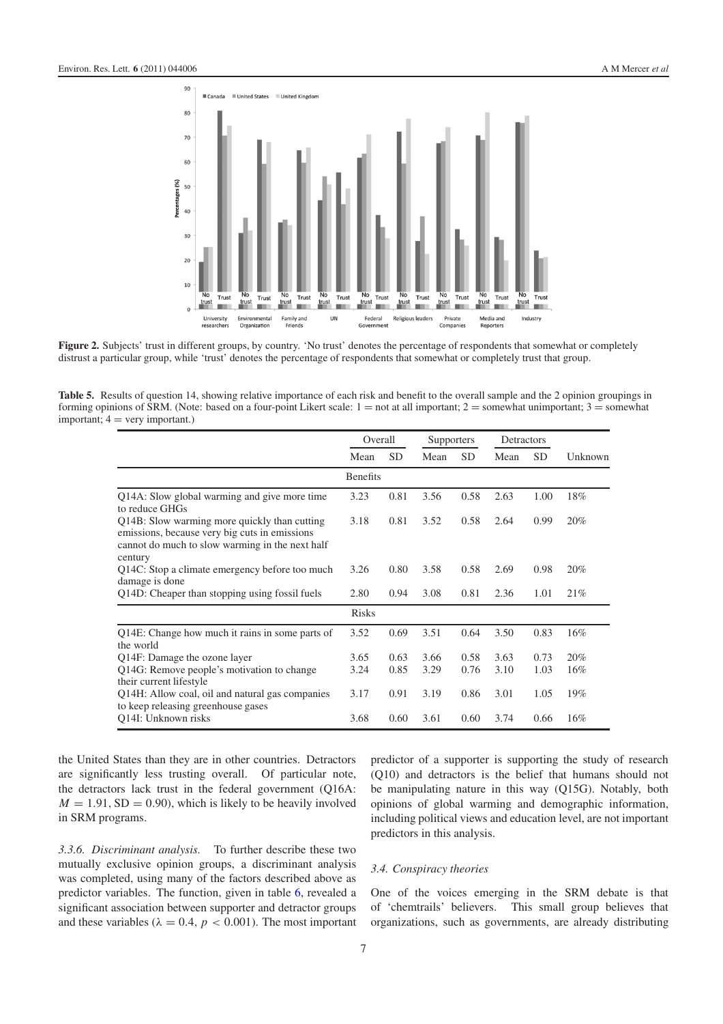<span id="page-6-1"></span>

<span id="page-6-0"></span>**Figure 2.** Subjects' trust in different groups, by country. 'No trust' denotes the percentage of respondents that somewhat or completely distrust a particular group, while 'trust' denotes the percentage of respondents that somewhat or completely trust that group.

Table 5. Results of question 14, showing relative importance of each risk and benefit to the overall sample and the 2 opinion groupings in forming opinions of SRM. (Note: based on a four-point Likert scale:  $1 =$  not at all important;  $2 =$  somewhat unimportant;  $3 =$  somewhat important;  $4 = \text{very important.}$ )

|                                                                                                                                                             | Overall         |           | Supporters |           | Detractors |           |         |
|-------------------------------------------------------------------------------------------------------------------------------------------------------------|-----------------|-----------|------------|-----------|------------|-----------|---------|
|                                                                                                                                                             | Mean            | <b>SD</b> | Mean       | <b>SD</b> | Mean       | <b>SD</b> | Unknown |
|                                                                                                                                                             | <b>Benefits</b> |           |            |           |            |           |         |
| Q14A: Slow global warming and give more time<br>to reduce GHGs                                                                                              | 3.23            | 0.81      | 3.56       | 0.58      | 2.63       | 1.00      | 18%     |
| Q14B: Slow warming more quickly than cutting<br>emissions, because very big cuts in emissions<br>cannot do much to slow warming in the next half<br>century | 3.18            | 0.81      | 3.52       | 0.58      | 2.64       | 0.99      | 20%     |
| Q14C: Stop a climate emergency before too much<br>damage is done                                                                                            | 3.26            | 0.80      | 3.58       | 0.58      | 2.69       | 0.98      | 20%     |
| Q14D: Cheaper than stopping using fossil fuels                                                                                                              | 2.80            | 0.94      | 3.08       | 0.81      | 2.36       | 1.01      | 21%     |
|                                                                                                                                                             | <b>Risks</b>    |           |            |           |            |           |         |
| Q14E: Change how much it rains in some parts of<br>the world                                                                                                | 3.52            | 0.69      | 3.51       | 0.64      | 3.50       | 0.83      | 16%     |
| Q14F: Damage the ozone layer                                                                                                                                | 3.65            | 0.63      | 3.66       | 0.58      | 3.63       | 0.73      | 20%     |
| Q14G: Remove people's motivation to change<br>their current lifestyle                                                                                       | 3.24            | 0.85      | 3.29       | 0.76      | 3.10       | 1.03      | 16%     |
| Q14H: Allow coal, oil and natural gas companies<br>to keep releasing greenhouse gases                                                                       | 3.17            | 0.91      | 3.19       | 0.86      | 3.01       | 1.05      | 19%     |
| O <sub>14I</sub> : Unknown risks                                                                                                                            | 3.68            | 0.60      | 3.61       | 0.60      | 3.74       | 0.66      | 16%     |

the United States than they are in other countries. Detractors are significantly less trusting overall. Of particular note, the detractors lack trust in the federal government (Q16A:  $M = 1.91$ , SD = 0.90), which is likely to be heavily involved in SRM programs.

*3.3.6. Discriminant analysis.* To further describe these two mutually exclusive opinion groups, a discriminant analysis was completed, using many of the factors described above as predictor variables. The function, given in table [6,](#page-7-0) revealed a significant association between supporter and detractor groups and these variables ( $\lambda = 0.4$ ,  $p < 0.001$ ). The most important

predictor of a supporter is supporting the study of research (Q10) and detractors is the belief that humans should not be manipulating nature in this way (Q15G). Notably, both opinions of global warming and demographic information, including political views and education level, are not important predictors in this analysis.

## *3.4. Conspiracy theories*

One of the voices emerging in the SRM debate is that of 'chemtrails' believers. This small group believes that organizations, such as governments, are already distributing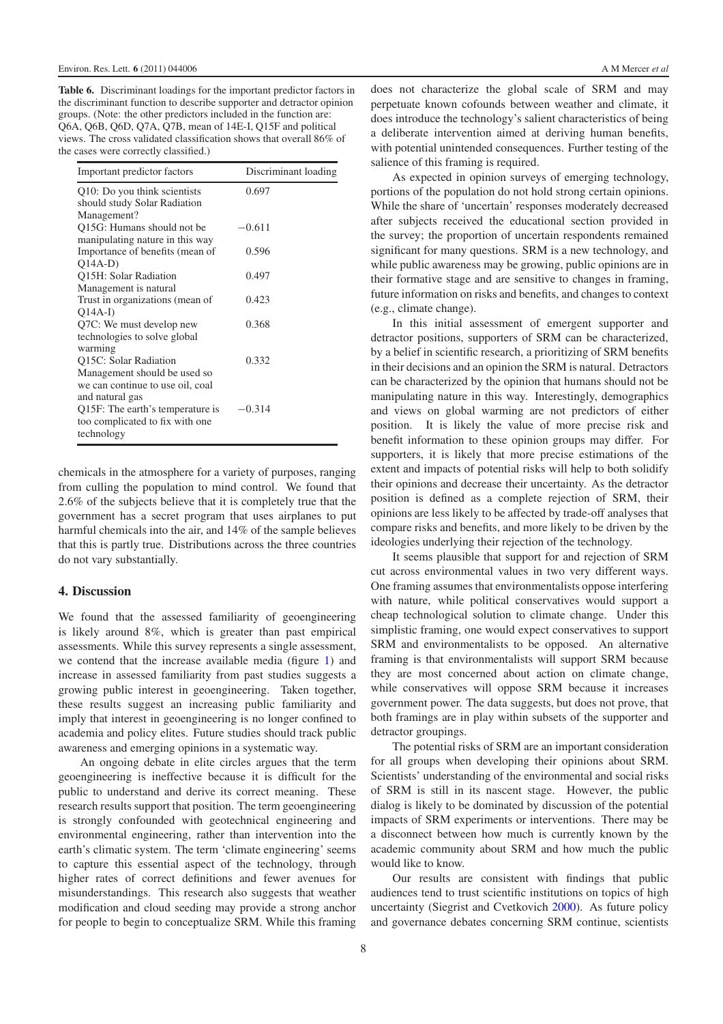<span id="page-7-0"></span>**Table 6.** Discriminant loadings for the important predictor factors in the discriminant function to describe supporter and detractor opinion groups. (Note: the other predictors included in the function are: Q6A, Q6B, Q6D, Q7A, Q7B, mean of 14E-I, Q15F and political views. The cross validated classification shows that overall 86% of the cases were correctly classified.)

| Important predictor factors                                                                                                                                              | Discriminant loading |
|--------------------------------------------------------------------------------------------------------------------------------------------------------------------------|----------------------|
| Q10: Do you think scientists<br>should study Solar Radiation                                                                                                             | 0.697                |
| Management?                                                                                                                                                              |                      |
| Q15G: Humans should not be<br>manipulating nature in this way                                                                                                            | $-0.611$             |
| Importance of benefits (mean of<br>$O(14A-D)$                                                                                                                            | 0.596                |
| Q15H: Solar Radiation<br>Management is natural                                                                                                                           | 0.497                |
| Trust in organizations (mean of<br>$O(14A-I)$                                                                                                                            | 0.423                |
| Q7C: We must develop new<br>technologies to solve global                                                                                                                 | 0.368                |
| warming<br>Q15C: Solar Radiation                                                                                                                                         | 0.332                |
| Management should be used so<br>we can continue to use oil, coal<br>and natural gas<br>Q15F: The earth's temperature is<br>too complicated to fix with one<br>technology | $-0.314$             |
|                                                                                                                                                                          |                      |

chemicals in the atmosphere for a variety of purposes, ranging from culling the population to mind control. We found that 2.6% of the subjects believe that it is completely true that the government has a secret program that uses airplanes to put harmful chemicals into the air, and 14% of the sample believes that this is partly true. Distributions across the three countries do not vary substantially.

## **4. Discussion**

We found that the assessed familiarity of geoengineering is likely around 8%, which is greater than past empirical assessments. While this survey represents a single assessment, we contend that the increase available media (figure [1\)](#page-1-0) and increase in assessed familiarity from past studies suggests a growing public interest in geoengineering. Taken together, these results suggest an increasing public familiarity and imply that interest in geoengineering is no longer confined to academia and policy elites. Future studies should track public awareness and emerging opinions in a systematic way.

An ongoing debate in elite circles argues that the term geoengineering is ineffective because it is difficult for the public to understand and derive its correct meaning. These research results support that position. The term geoengineering is strongly confounded with geotechnical engineering and environmental engineering, rather than intervention into the earth's climatic system. The term 'climate engineering' seems to capture this essential aspect of the technology, through higher rates of correct definitions and fewer avenues for misunderstandings. This research also suggests that weather modification and cloud seeding may provide a strong anchor for people to begin to conceptualize SRM. While this framing does not characterize the global scale of SRM and may perpetuate known cofounds between weather and climate, it does introduce the technology's salient characteristics of being a deliberate intervention aimed at deriving human benefits, with potential unintended consequences. Further testing of the salience of this framing is required.

As expected in opinion surveys of emerging technology, portions of the population do not hold strong certain opinions. While the share of 'uncertain' responses moderately decreased after subjects received the educational section provided in the survey; the proportion of uncertain respondents remained significant for many questions. SRM is a new technology, and while public awareness may be growing, public opinions are in their formative stage and are sensitive to changes in framing, future information on risks and benefits, and changes to context (e.g., climate change).

In this initial assessment of emergent supporter and detractor positions, supporters of SRM can be characterized, by a belief in scientific research, a prioritizing of SRM benefits in their decisions and an opinion the SRM is natural. Detractors can be characterized by the opinion that humans should not be manipulating nature in this way. Interestingly, demographics and views on global warming are not predictors of either position. It is likely the value of more precise risk and benefit information to these opinion groups may differ. For supporters, it is likely that more precise estimations of the extent and impacts of potential risks will help to both solidify their opinions and decrease their uncertainty. As the detractor position is defined as a complete rejection of SRM, their opinions are less likely to be affected by trade-off analyses that compare risks and benefits, and more likely to be driven by the ideologies underlying their rejection of the technology.

It seems plausible that support for and rejection of SRM cut across environmental values in two very different ways. One framing assumes that environmentalists oppose interfering with nature, while political conservatives would support a cheap technological solution to climate change. Under this simplistic framing, one would expect conservatives to support SRM and environmentalists to be opposed. An alternative framing is that environmentalists will support SRM because they are most concerned about action on climate change, while conservatives will oppose SRM because it increases government power. The data suggests, but does not prove, that both framings are in play within subsets of the supporter and detractor groupings.

The potential risks of SRM are an important consideration for all groups when developing their opinions about SRM. Scientists' understanding of the environmental and social risks of SRM is still in its nascent stage. However, the public dialog is likely to be dominated by discussion of the potential impacts of SRM experiments or interventions. There may be a disconnect between how much is currently known by the academic community about SRM and how much the public would like to know.

Our results are consistent with findings that public audiences tend to trust scientific institutions on topics of high uncertainty (Siegrist and Cvetkovich [2000\)](#page-8-23). As future policy and governance debates concerning SRM continue, scientists